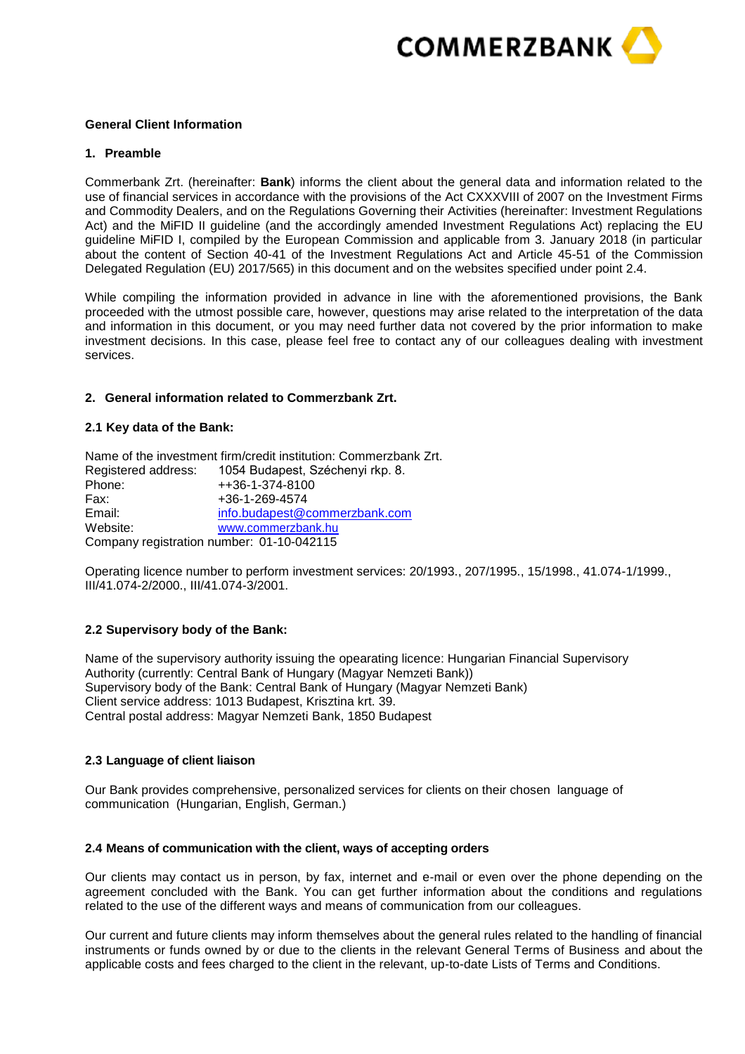

# **General Client Information**

# **1. Preamble**

Commerbank Zrt. (hereinafter: **Bank**) informs the client about the general data and information related to the use of financial services in accordance with the provisions of the Act CXXXVIII of 2007 on the Investment Firms and Commodity Dealers, and on the Regulations Governing their Activities (hereinafter: Investment Regulations Act) and the MiFID II guideline (and the accordingly amended Investment Regulations Act) replacing the EU guideline MiFID I, compiled by the European Commission and applicable from 3. January 2018 (in particular about the content of Section 40-41 of the Investment Regulations Act and Article 45-51 of the Commission Delegated Regulation (EU) 2017/565) in this document and on the websites specified under point 2.4.

While compiling the information provided in advance in line with the aforementioned provisions, the Bank proceeded with the utmost possible care, however, questions may arise related to the interpretation of the data and information in this document, or you may need further data not covered by the prior information to make investment decisions. In this case, please feel free to contact any of our colleagues dealing with investment services.

# **2. General information related to Commerzbank Zrt.**

# **2.1 Key data of the Bank:**

|                                           | Name of the investment firm/credit institution: Commerzbank Zrt. |
|-------------------------------------------|------------------------------------------------------------------|
|                                           | Registered address: 1054 Budapest, Széchenyi rkp. 8.             |
| Phone:                                    | ++36-1-374-8100                                                  |
| Fax:                                      | +36-1-269-4574                                                   |
| Email:                                    | info.budapest@commerzbank.com                                    |
| Website:                                  | www.commerzbank.hu                                               |
| Company registration number: 01-10-042115 |                                                                  |

Operating licence number to perform investment services: 20/1993., 207/1995., 15/1998., 41.074-1/1999., III/41.074-2/2000., III/41.074-3/2001.

### **2.2 Supervisory body of the Bank:**

Name of the supervisory authority issuing the opearating licence: Hungarian Financial Supervisory Authority (currently: Central Bank of Hungary (Magyar Nemzeti Bank)) Supervisory body of the Bank: Central Bank of Hungary (Magyar Nemzeti Bank) Client service address: 1013 Budapest, Krisztina krt. 39. Central postal address: Magyar Nemzeti Bank, 1850 Budapest

### **2.3 Language of client liaison**

Our Bank provides comprehensive, personalized services for clients on their chosen language of communication (Hungarian, English, German.)

### **2.4 Means of communication with the client, ways of accepting orders**

Our clients may contact us in person, by fax, internet and e-mail or even over the phone depending on the agreement concluded with the Bank. You can get further information about the conditions and regulations related to the use of the different ways and means of communication from our colleagues.

Our current and future clients may inform themselves about the general rules related to the handling of financial instruments or funds owned by or due to the clients in the relevant General Terms of Business and about the applicable costs and fees charged to the client in the relevant, up-to-date Lists of Terms and Conditions.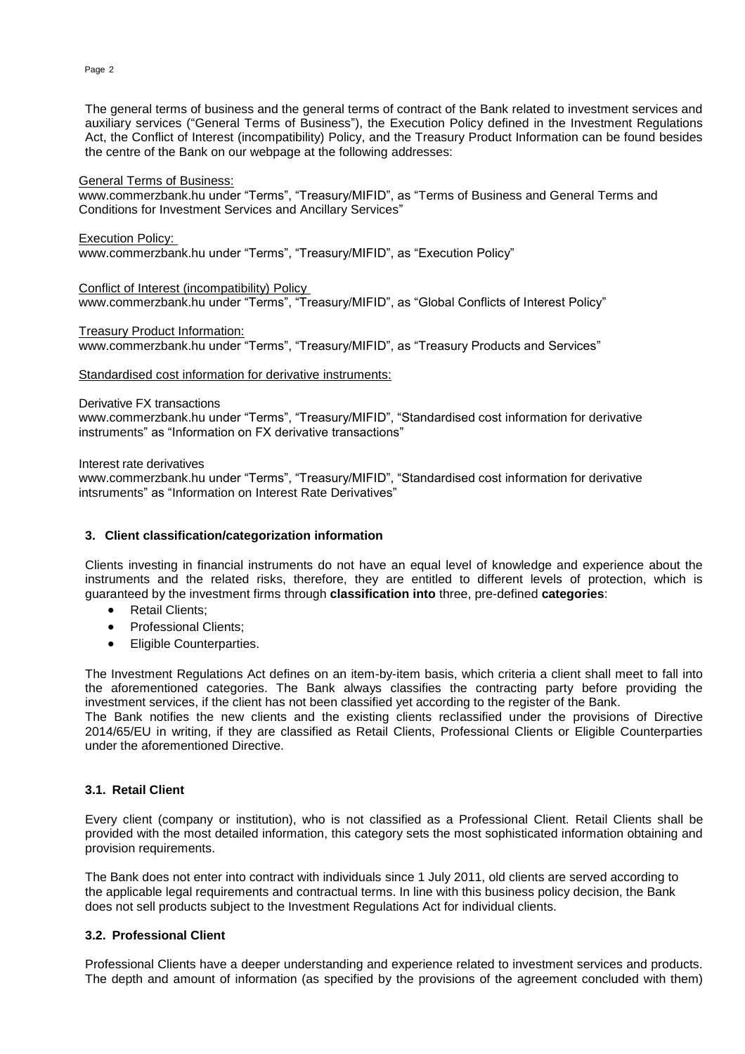The general terms of business and the general terms of contract of the Bank related to investment services and auxiliary services ("General Terms of Business"), the Execution Policy defined in the Investment Regulations Act, the Conflict of Interest (incompatibility) Policy, and the Treasury Product Information can be found besides the centre of the Bank on our webpage at the following addresses:

General Terms of Business:

[www.commerzbank.hu](http://www.commerzbank.hu/) under "Terms", "Treasury/MIFID", as "Terms of Business and General Terms and Conditions for Investment Services and Ancillary Services"

Execution Policy: [www.commerzbank.hu](http://www.commerzbank.hu/) under "Terms", "Treasury/MIFID", as "Execution Policy"

Conflict of Interest (incompatibility) Policy [www.commerzbank.hu](http://www.commerzbank.hu/) under "Terms", "Treasury/MIFID", as "Global Conflicts of Interest Policy"

Treasury Product Information:

[www.commerzbank.hu](http://www.commerzbank.hu/) under "Terms", "Treasury/MIFID", as "Treasury Products and Services"

Standardised cost information for derivative instruments:

Derivative FX transactions

[www.commerzbank.hu](http://www.commerzbank.hu/) under "Terms", "Treasury/MIFID", "Standardised cost information for derivative instruments" as "Information on FX derivative transactions"

Interest rate derivatives

[www.commerzbank.hu](http://www.commerzbank.hu/) under "Terms", "Treasury/MIFID", "Standardised cost information for derivative intsruments" as "Information on Interest Rate Derivatives"

# **3. Client classification/categorization information**

Clients investing in financial instruments do not have an equal level of knowledge and experience about the instruments and the related risks, therefore, they are entitled to different levels of protection, which is guaranteed by the investment firms through **classification into** three, pre-defined **categories**:

- Retail Clients;
- Professional Clients;
- Eligible Counterparties.

The Investment Regulations Act defines on an item-by-item basis, which criteria a client shall meet to fall into the aforementioned categories. The Bank always classifies the contracting party before providing the investment services, if the client has not been classified yet according to the register of the Bank.

The Bank notifies the new clients and the existing clients reclassified under the provisions of Directive 2014/65/EU in writing, if they are classified as Retail Clients, Professional Clients or Eligible Counterparties under the aforementioned Directive.

# **3.1. Retail Client**

Every client (company or institution), who is not classified as a Professional Client. Retail Clients shall be provided with the most detailed information, this category sets the most sophisticated information obtaining and provision requirements.

The Bank does not enter into contract with individuals since 1 July 2011, old clients are served according to the applicable legal requirements and contractual terms. In line with this business policy decision, the Bank does not sell products subject to the Investment Regulations Act for individual clients.

# **3.2. Professional Client**

Professional Clients have a deeper understanding and experience related to investment services and products. The depth and amount of information (as specified by the provisions of the agreement concluded with them)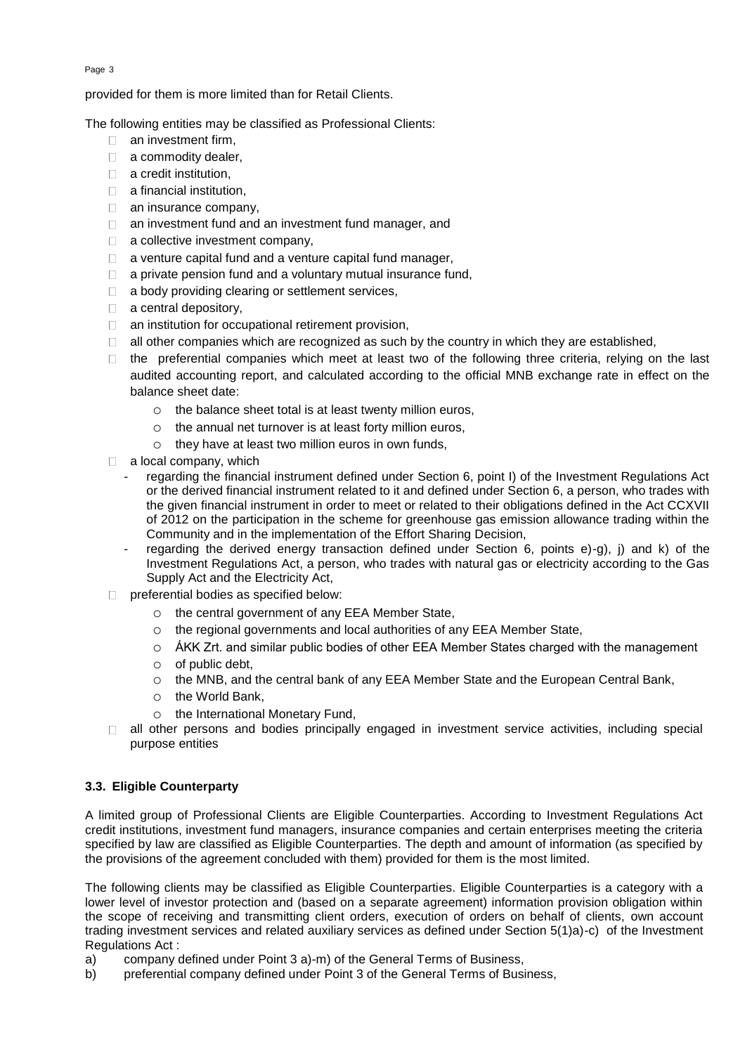provided for them is more limited than for Retail Clients.

The following entities may be classified as Professional Clients:

- □ an investment firm,
- □ a commodity dealer,
- $\Box$  a credit institution.
- $\Box$  a financial institution,
- $\Box$  an insurance company,
- $\Box$  an investment fund and an investment fund manager, and
- $\Box$  a collective investment company,
- $\Box$  a venture capital fund and a venture capital fund manager,
- $\Box$  a private pension fund and a voluntary mutual insurance fund,
- $\Box$  a body providing clearing or settlement services,
- □ a central depository,
- $\Box$  an institution for occupational retirement provision,
- $\Box$  all other companies which are recognized as such by the country in which they are established,
- $\Box$  the preferential companies which meet at least two of the following three criteria, relying on the last audited accounting report, and calculated according to the official MNB exchange rate in effect on the balance sheet date:
	- o the balance sheet total is at least twenty million euros,
	- o the annual net turnover is at least forty million euros,
	- o they have at least two million euros in own funds,
- $\Box$  a local company, which
	- regarding the financial instrument defined under Section 6, point I) of the Investment Regulations Act or the derived financial instrument related to it and defined under Section 6, a person, who trades with the given financial instrument in order to meet or related to their obligations defined in the Act CCXVII of 2012 on the participation in the scheme for greenhouse gas emission allowance trading within the Community and in the implementation of the Effort Sharing Decision,
	- regarding the derived energy transaction defined under Section 6, points e)-g), j) and k) of the Investment Regulations Act, a person, who trades with natural gas or electricity according to the Gas Supply Act and the Electricity Act,
- D preferential bodies as specified below:
	- o the central government of any EEA Member State,
	- o the regional governments and local authorities of any EEA Member State,
	- $\circ$  ÁKK Zrt. and similar public bodies of other EEA Member States charged with the management
	- o of public debt,
	- o the MNB, and the central bank of any EEA Member State and the European Central Bank,
	- o the World Bank,
	- o the International Monetary Fund,
- all other persons and bodies principally engaged in investment service activities, including special purpose entities

# **3.3. Eligible Counterparty**

A limited group of Professional Clients are Eligible Counterparties. According to Investment Regulations Act credit institutions, investment fund managers, insurance companies and certain enterprises meeting the criteria specified by law are classified as Eligible Counterparties. The depth and amount of information (as specified by the provisions of the agreement concluded with them) provided for them is the most limited.

The following clients may be classified as Eligible Counterparties. Eligible Counterparties is a category with a lower level of investor protection and (based on a separate agreement) information provision obligation within the scope of receiving and transmitting client orders, execution of orders on behalf of clients, own account trading investment services and related auxiliary services as defined under Section 5(1)a)-c) of the Investment Regulations Act :

- a) company defined under Point 3 a)-m) of the General Terms of Business,
- b) preferential company defined under Point 3 of the General Terms of Business,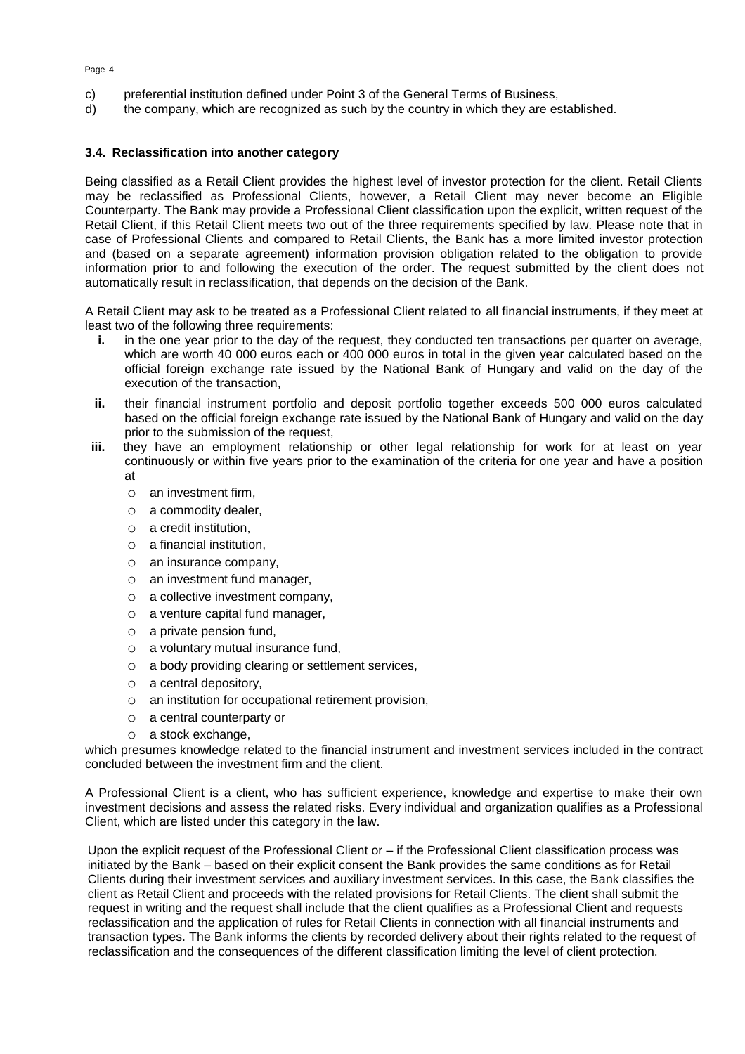# c) preferential institution defined under Point 3 of the General Terms of Business,

d) the company, which are recognized as such by the country in which they are established.

# **3.4. Reclassification into another category**

Being classified as a Retail Client provides the highest level of investor protection for the client. Retail Clients may be reclassified as Professional Clients, however, a Retail Client may never become an Eligible Counterparty. The Bank may provide a Professional Client classification upon the explicit, written request of the Retail Client, if this Retail Client meets two out of the three requirements specified by law. Please note that in case of Professional Clients and compared to Retail Clients, the Bank has a more limited investor protection and (based on a separate agreement) information provision obligation related to the obligation to provide information prior to and following the execution of the order. The request submitted by the client does not automatically result in reclassification, that depends on the decision of the Bank.

A Retail Client may ask to be treated as a Professional Client related to all financial instruments, if they meet at least two of the following three requirements:

- **i.** in the one year prior to the day of the request, they conducted ten transactions per quarter on average, which are worth 40 000 euros each or 400 000 euros in total in the given year calculated based on the official foreign exchange rate issued by the National Bank of Hungary and valid on the day of the execution of the transaction,
- **ii.** their financial instrument portfolio and deposit portfolio together exceeds 500 000 euros calculated based on the official foreign exchange rate issued by the National Bank of Hungary and valid on the day prior to the submission of the request,
- **iii.** they have an employment relationship or other legal relationship for work for at least on year continuously or within five years prior to the examination of the criteria for one year and have a position at
	- o an investment firm,
	- o a commodity dealer,
	- o a credit institution,
	- o a financial institution,
	- o an insurance company,
	- o an investment fund manager,
	- o a collective investment company,
	- o a venture capital fund manager,
	- o a private pension fund,
	- o a voluntary mutual insurance fund,
	- o a body providing clearing or settlement services,
	- o a central depository,
	- o an institution for occupational retirement provision,
	- o a central counterparty or
	- o a stock exchange,

which presumes knowledge related to the financial instrument and investment services included in the contract concluded between the investment firm and the client.

A Professional Client is a client, who has sufficient experience, knowledge and expertise to make their own investment decisions and assess the related risks. Every individual and organization qualifies as a Professional Client, which are listed under this category in the law.

Upon the explicit request of the Professional Client or – if the Professional Client classification process was initiated by the Bank – based on their explicit consent the Bank provides the same conditions as for Retail Clients during their investment services and auxiliary investment services. In this case, the Bank classifies the client as Retail Client and proceeds with the related provisions for Retail Clients. The client shall submit the request in writing and the request shall include that the client qualifies as a Professional Client and requests reclassification and the application of rules for Retail Clients in connection with all financial instruments and transaction types. The Bank informs the clients by recorded delivery about their rights related to the request of reclassification and the consequences of the different classification limiting the level of client protection.

#### Page 4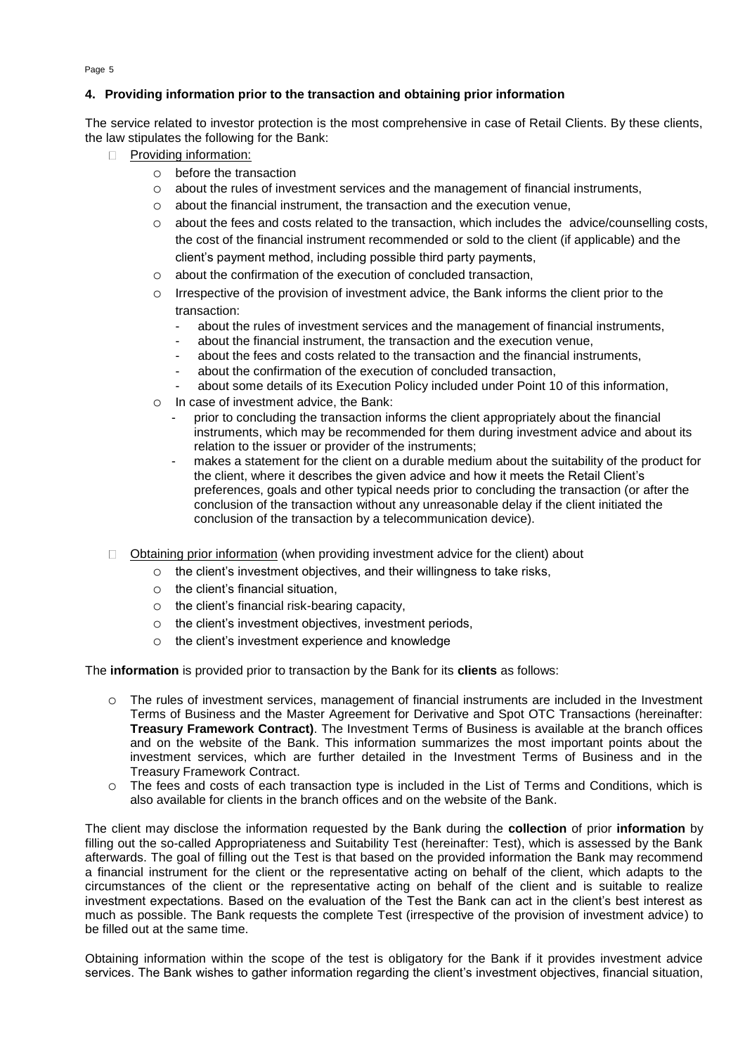# **4. Providing information prior to the transaction and obtaining prior information**

The service related to investor protection is the most comprehensive in case of Retail Clients. By these clients, the law stipulates the following for the Bank:

- $\Box$ Providing information:
	- o before the transaction
	- $\circ$  about the rules of investment services and the management of financial instruments,
	- o about the financial instrument, the transaction and the execution venue,
	- o about the fees and costs related to the transaction, which includes the advice/counselling costs, the cost of the financial instrument recommended or sold to the client (if applicable) and the client's payment method, including possible third party payments,
	- o about the confirmation of the execution of concluded transaction,
	- o Irrespective of the provision of investment advice, the Bank informs the client prior to the transaction:
		- about the rules of investment services and the management of financial instruments,
		- about the financial instrument, the transaction and the execution venue,
		- about the fees and costs related to the transaction and the financial instruments,
		- about the confirmation of the execution of concluded transaction,
		- about some details of its Execution Policy included under Point 10 of this information,
	- o In case of investment advice, the Bank:
		- prior to concluding the transaction informs the client appropriately about the financial instruments, which may be recommended for them during investment advice and about its relation to the issuer or provider of the instruments;
		- makes a statement for the client on a durable medium about the suitability of the product for the client, where it describes the given advice and how it meets the Retail Client's preferences, goals and other typical needs prior to concluding the transaction (or after the conclusion of the transaction without any unreasonable delay if the client initiated the conclusion of the transaction by a telecommunication device).
- Obtaining prior information (when providing investment advice for the client) about
	- o the client's investment objectives, and their willingness to take risks,
	- o the client's financial situation,
	- o the client's financial risk-bearing capacity,
	- o the client's investment objectives, investment periods,
	- o the client's investment experience and knowledge

The **information** is provided prior to transaction by the Bank for its **clients** as follows:

- o The rules of investment services, management of financial instruments are included in the Investment Terms of Business and the Master Agreement for Derivative and Spot OTC Transactions (hereinafter: **Treasury Framework Contract)**. The Investment Terms of Business is available at the branch offices and on the website of the Bank. This information summarizes the most important points about the investment services, which are further detailed in the Investment Terms of Business and in the Treasury Framework Contract.
- o The fees and costs of each transaction type is included in the List of Terms and Conditions, which is also available for clients in the branch offices and on the website of the Bank.

The client may disclose the information requested by the Bank during the **collection** of prior **information** by filling out the so-called Appropriateness and Suitability Test (hereinafter: Test), which is assessed by the Bank afterwards. The goal of filling out the Test is that based on the provided information the Bank may recommend a financial instrument for the client or the representative acting on behalf of the client, which adapts to the circumstances of the client or the representative acting on behalf of the client and is suitable to realize investment expectations. Based on the evaluation of the Test the Bank can act in the client's best interest as much as possible. The Bank requests the complete Test (irrespective of the provision of investment advice) to be filled out at the same time.

Obtaining information within the scope of the test is obligatory for the Bank if it provides investment advice services. The Bank wishes to gather information regarding the client's investment objectives, financial situation,

Page 5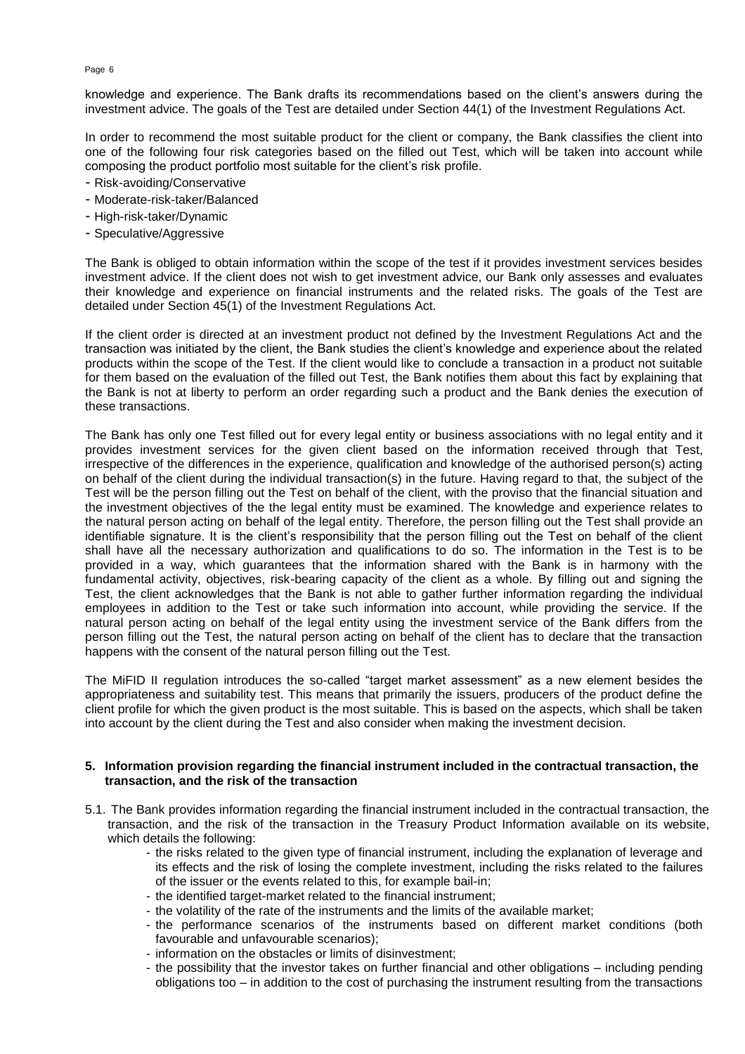knowledge and experience. The Bank drafts its recommendations based on the client's answers during the investment advice. The goals of the Test are detailed under Section 44(1) of the Investment Regulations Act.

In order to recommend the most suitable product for the client or company, the Bank classifies the client into one of the following four risk categories based on the filled out Test, which will be taken into account while composing the product portfolio most suitable for the client's risk profile.

- Risk-avoiding/Conservative
- Moderate-risk-taker/Balanced
- High-risk-taker/Dynamic
- Speculative/Aggressive

The Bank is obliged to obtain information within the scope of the test if it provides investment services besides investment advice. If the client does not wish to get investment advice, our Bank only assesses and evaluates their knowledge and experience on financial instruments and the related risks. The goals of the Test are detailed under Section 45(1) of the Investment Regulations Act.

If the client order is directed at an investment product not defined by the Investment Regulations Act and the transaction was initiated by the client, the Bank studies the client's knowledge and experience about the related products within the scope of the Test. If the client would like to conclude a transaction in a product not suitable for them based on the evaluation of the filled out Test, the Bank notifies them about this fact by explaining that the Bank is not at liberty to perform an order regarding such a product and the Bank denies the execution of these transactions.

The Bank has only one Test filled out for every legal entity or business associations with no legal entity and it provides investment services for the given client based on the information received through that Test, irrespective of the differences in the experience, qualification and knowledge of the authorised person(s) acting on behalf of the client during the individual transaction(s) in the future. Having regard to that, the subject of the Test will be the person filling out the Test on behalf of the client, with the proviso that the financial situation and the investment objectives of the the legal entity must be examined. The knowledge and experience relates to the natural person acting on behalf of the legal entity. Therefore, the person filling out the Test shall provide an identifiable signature. It is the client's responsibility that the person filling out the Test on behalf of the client shall have all the necessary authorization and qualifications to do so. The information in the Test is to be provided in a way, which guarantees that the information shared with the Bank is in harmony with the fundamental activity, objectives, risk-bearing capacity of the client as a whole. By filling out and signing the Test, the client acknowledges that the Bank is not able to gather further information regarding the individual employees in addition to the Test or take such information into account, while providing the service. If the natural person acting on behalf of the legal entity using the investment service of the Bank differs from the person filling out the Test, the natural person acting on behalf of the client has to declare that the transaction happens with the consent of the natural person filling out the Test.

The MiFID II regulation introduces the so-called "target market assessment" as a new element besides the appropriateness and suitability test. This means that primarily the issuers, producers of the product define the client profile for which the given product is the most suitable. This is based on the aspects, which shall be taken into account by the client during the Test and also consider when making the investment decision.

### **5. Information provision regarding the financial instrument included in the contractual transaction, the transaction, and the risk of the transaction**

- 5.1. The Bank provides information regarding the financial instrument included in the contractual transaction, the transaction, and the risk of the transaction in the Treasury Product Information available on its website, which details the following:
	- the risks related to the given type of financial instrument, including the explanation of leverage and its effects and the risk of losing the complete investment, including the risks related to the failures of the issuer or the events related to this, for example bail-in;
	- the identified target-market related to the financial instrument;
	- the volatility of the rate of the instruments and the limits of the available market;
	- the performance scenarios of the instruments based on different market conditions (both favourable and unfavourable scenarios);
	- information on the obstacles or limits of disinvestment;
	- the possibility that the investor takes on further financial and other obligations including pending obligations too – in addition to the cost of purchasing the instrument resulting from the transactions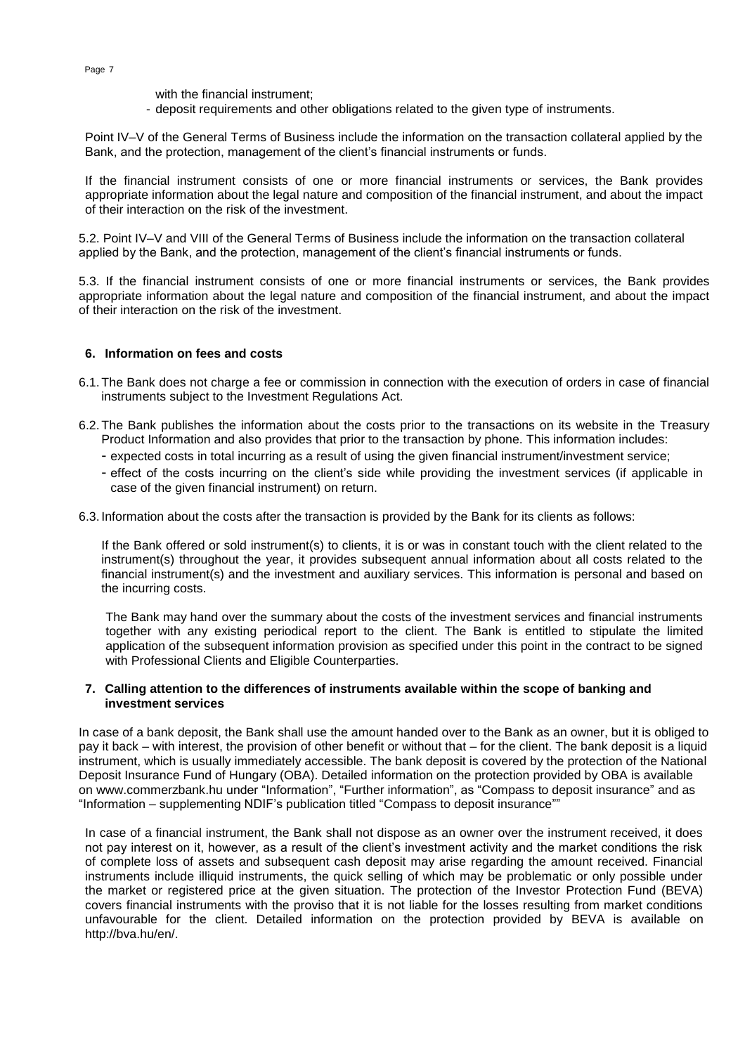with the financial instrument;

- deposit requirements and other obligations related to the given type of instruments.

Point IV–V of the General Terms of Business include the information on the transaction collateral applied by the Bank, and the protection, management of the client's financial instruments or funds.

If the financial instrument consists of one or more financial instruments or services, the Bank provides appropriate information about the legal nature and composition of the financial instrument, and about the impact of their interaction on the risk of the investment.

5.2. Point IV–V and VIII of the General Terms of Business include the information on the transaction collateral applied by the Bank, and the protection, management of the client's financial instruments or funds.

5.3. If the financial instrument consists of one or more financial instruments or services, the Bank provides appropriate information about the legal nature and composition of the financial instrument, and about the impact of their interaction on the risk of the investment.

# **6. Information on fees and costs**

- 6.1.The Bank does not charge a fee or commission in connection with the execution of orders in case of financial instruments subject to the Investment Regulations Act.
- 6.2.The Bank publishes the information about the costs prior to the transactions on its website in the Treasury Product Information and also provides that prior to the transaction by phone. This information includes:
	- expected costs in total incurring as a result of using the given financial instrument/investment service;
	- effect of the costs incurring on the client's side while providing the investment services (if applicable in case of the given financial instrument) on return.

6.3. Information about the costs after the transaction is provided by the Bank for its clients as follows:

If the Bank offered or sold instrument(s) to clients, it is or was in constant touch with the client related to the instrument(s) throughout the year, it provides subsequent annual information about all costs related to the financial instrument(s) and the investment and auxiliary services. This information is personal and based on the incurring costs.

The Bank may hand over the summary about the costs of the investment services and financial instruments together with any existing periodical report to the client. The Bank is entitled to stipulate the limited application of the subsequent information provision as specified under this point in the contract to be signed with Professional Clients and Eligible Counterparties.

### **7. Calling attention to the differences of instruments available within the scope of banking and investment services**

In case of a bank deposit, the Bank shall use the amount handed over to the Bank as an owner, but it is obliged to pay it back – with interest, the provision of other benefit or without that – for the client. The bank deposit is a liquid instrument, which is usually immediately accessible. The bank deposit is covered by the protection of the National Deposit Insurance Fund of Hungary (OBA). Detailed information on the protection provided by OBA is available on [www.commerzbank.hu](http://www.commerzbank.hu/) under "Information", "Further information", as "Compass to deposit insurance" and as "Information – supplementing NDIF's publication titled "Compass to deposit insurance""

In case of a financial instrument, the Bank shall not dispose as an owner over the instrument received, it does not pay interest on it, however, as a result of the client's investment activity and the market conditions the risk of complete loss of assets and subsequent cash deposit may arise regarding the amount received. Financial instruments include illiquid instruments, the quick selling of which may be problematic or only possible under the market or registered price at the given situation. The protection of the Investor Protection Fund (BEVA) covers financial instruments with the proviso that it is not liable for the losses resulting from market conditions unfavourable for the client. Detailed information on the protection provided by BEVA is available on http://bva.hu/en/.

Page 7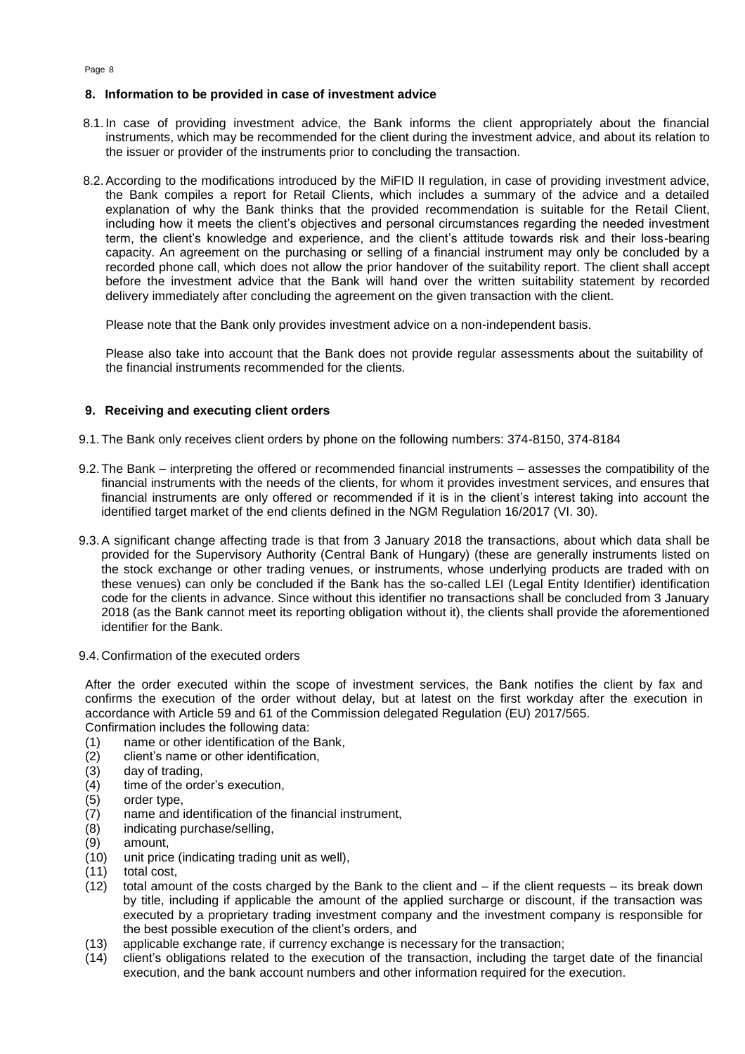# **8. Information to be provided in case of investment advice**

- 8.1. In case of providing investment advice, the Bank informs the client appropriately about the financial instruments, which may be recommended for the client during the investment advice, and about its relation to the issuer or provider of the instruments prior to concluding the transaction.
- 8.2.According to the modifications introduced by the MiFID II regulation, in case of providing investment advice, the Bank compiles a report for Retail Clients, which includes a summary of the advice and a detailed explanation of why the Bank thinks that the provided recommendation is suitable for the Retail Client, including how it meets the client's objectives and personal circumstances regarding the needed investment term, the client's knowledge and experience, and the client's attitude towards risk and their loss-bearing capacity. An agreement on the purchasing or selling of a financial instrument may only be concluded by a recorded phone call, which does not allow the prior handover of the suitability report. The client shall accept before the investment advice that the Bank will hand over the written suitability statement by recorded delivery immediately after concluding the agreement on the given transaction with the client.

Please note that the Bank only provides investment advice on a non-independent basis.

Please also take into account that the Bank does not provide regular assessments about the suitability of the financial instruments recommended for the clients.

# **9. Receiving and executing client orders**

- 9.1.The Bank only receives client orders by phone on the following numbers: 374-8150, 374-8184
- 9.2.The Bank interpreting the offered or recommended financial instruments assesses the compatibility of the financial instruments with the needs of the clients, for whom it provides investment services, and ensures that financial instruments are only offered or recommended if it is in the client's interest taking into account the identified target market of the end clients defined in the NGM Regulation 16/2017 (VI. 30).
- 9.3.A significant change affecting trade is that from 3 January 2018 the transactions, about which data shall be provided for the Supervisory Authority (Central Bank of Hungary) (these are generally instruments listed on the stock exchange or other trading venues, or instruments, whose underlying products are traded with on these venues) can only be concluded if the Bank has the so-called LEI (Legal Entity Identifier) identification code for the clients in advance. Since without this identifier no transactions shall be concluded from 3 January 2018 (as the Bank cannot meet its reporting obligation without it), the clients shall provide the aforementioned identifier for the Bank.
- 9.4. Confirmation of the executed orders

After the order executed within the scope of investment services, the Bank notifies the client by fax and confirms the execution of the order without delay, but at latest on the first workday after the execution in accordance with Article 59 and 61 of the Commission delegated Regulation (EU) 2017/565. Confirmation includes the following data:

- (1) name or other identification of the Bank,
- (2) client's name or other identification,
- (3) day of trading,
- (4) time of the order's execution,
- (5) order type,
- (7) name and identification of the financial instrument,
- (8) indicating purchase/selling,
- (9) amount,
- (10) unit price (indicating trading unit as well),
- (11) total cost,
- (12) total amount of the costs charged by the Bank to the client and if the client requests its break down by title, including if applicable the amount of the applied surcharge or discount, if the transaction was executed by a proprietary trading investment company and the investment company is responsible for the best possible execution of the client's orders, and
- (13) applicable exchange rate, if currency exchange is necessary for the transaction;
- (14) client's obligations related to the execution of the transaction, including the target date of the financial execution, and the bank account numbers and other information required for the execution.